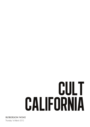# CULT CALIFORNIA

Thursday 1st March 2012 **ROBERSON WINE**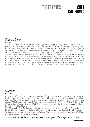# the estates

## cult **CALIFORNIA**

#### Diamond Creek **Calistoga**

A cult wine for the purist, Diamond Creek has never been about big Parker scores (they never really got any). Back in the late '60s a Canadian pharmaceutical millionaire based in California called Al Brounstein decided to build a winery from scratch on Diamond Mountain. By 1968 he had cleared much of the scrubland on the property and set about planting vineyards of Cabernet Sauvignon. It is worth remembering that all of this happened pre-Judgement of Paris, so land was cheap and Brounstein managed to get an amazingly diverse site with a number of distinctive terroirs. After Al passed away in 2006 the estate has been run by his brilliantly named wife - Boots Brounstein.

There are four vineyard sites at Diamond Creek. South facing Volcanic Hill is the largest at just over 3 ha and produces the most long lived of Diamond Creek's wines. 3ha Red Rock Terrace is also a warm site, despite being a north-facing vineyard. It is named after its red soils, the colour a product of its high iron content. The third vineyard, Gravelly Meadow, is a cooler site with the stones and pebbles that show this used to be a river bed and this site gives the most elegant, finely structured wines. Lake Vineyard, the fourth and smallest plot, is a cool lakeside vineyard of about 0.3 ha. Only eight vintages have seen a Lake Vineyard wine produced, as the plot struggles to achieve full ripeness. This makes it the true cult wine of Diamond Creek (10 bottles sold for \$300,000 in 2002), but all of the wines are much loved by fans of Californian Cabernet.

#### l'Aventure Paso Robles

Stephan Asso is a French winemaker that spent years making wine in Bordeaux before, according to the man himself, he got frustrated with appellation laws and decided to up sticks and head to California. He travelled the world looking for terroir that would capture his imagination and after crossing South Africa, Argentina and Lebanon off the list, he discovered the Napa Valley and decided that it was the ideal place to begin his adventure. Well, his l'Aventure to be precise. Much of the buzz around l'Aventure is thanks to the Estate wine (a Bordeaux blend) and his Côte a Côte cuvée, a blend of Mourvedre, Grenache and Syrah. These are the wines that have garnered much praise in the press and Parker has been liberal with the 97 and 98 point scores.

Côte a Côte is aged in 50% new French oak and receives the usual treatment - hand harvesting, prolongued cold soak before a cool fermentation. Elevage in barrique until bottling unfined and unfiltered. To be honest, it is difficult to see what he does differently to his time in Bordeaux and the 'constraints' that he seemed so desperate to get away from. Regardless, Parker seems convinced and the fcat that only about 150-200 cases are produced means that it has easily attained cult status.

"This is brilliant wine from a Frenchman who has captured the magic of Paso Robles."

Robert Parker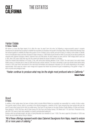## cult **CALIFORNIA**

# the estates

#### Harlan Estate St Helena / Oakville

Bill Harlan is a bone fide Napa legend. As is often the case, he wasn't born into wine, but following a mega-successful career in property development he decided that he wanted to establish the equivalent of a Bordeaux first growth in the Napa Valley. Harlan idolised Bob Mondavi (they had worked together to establish the Napa wine auction at one of Harlan's luxury resorts) and set his heart on creating a wine estate in Oakville, home to the Mondavi winery and their renowned To Kalon vineyard. In 1984 Harlan found himself an initial 23 acre site and set about planting the vineyards with Cabernet Sauvignon, Merlot, Cabernet Franc and Petit Verdot. He didn't release any wine until the 1990 vintage (which came out in '96), when 350 cases made their way onto the market and started the ascent of Harlan to cult status.

Today the vineyard area stretches to 40 acres (17ha), with some plots reaching altitudes of over 1200ft. The main parcel, from which Harlan Estate comes, is a terraced plot of vines at 350ft that sits atop volcanic bedrock. The wine is fermented in open top wooden tanks before being moved to 100% new French oak barrels for the malo-lactic fermentation and subsequent maturation (24-36 months depending on the vintage). Approximately 1800 cases are made in each vintage and it appears that Harlan has achieved his goal of establishing a 'first growth' in Napa - in terms of prices and prestige at least.

#### "Harlan continue to produce what may be the single most profound wine in California." Robert Parker

#### Bond St Helena

In addition to their estate wines, the team at Harlan (which includes Michel Rolland as consultant) are responsible for a variety of other cuvées. One specific project is Bond, which is, according to the official propaganda, a selection of the 5 best vineyards they have worked with over the past 25 years when buying fruit for their non-estate wines. They have 20 year leases on five sites (Pluribus, Quella, Melbury, St Eden and Vecina), three planted to 100% Cab Sauv, with St Eden having 5% Cab Franc and Pluribus having 13% Merlot and 11% Cab Franc. Production is tiny, with 600-700 cases of each wine available to a heavily oversubscribed waiting list.

Pluribus, which we will taste tonight, sits high on Spring Mountain at an elevation of over 1100ft. The wine is aged for 22months in 100% new French oak and bottled without fining or filtration.

#### "All of these offerings represent world-class Cabernet Sauvignons from Napa, meant to endure 30 or more years of cellaring."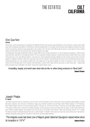# the estates

## cult **CALIFORNIA**

#### Sine Qua Non Ventura

If there was a world championship for wine labels, then Manfred Krankl's Sine Qua Non would definitely be in the running for a medal. Cynics might argue that the elaborate presentation of SQN wines is what has propelled them to cult status, but they would most probably be drowned out by the hordes of screaming customers trying desperately to get a bottle or two. The fact is that SQN should be used as a case study for how to market a high-end wine brand, but the wines also offer genuine substance and quality.

The SQN project was begun by Manfred Krankl as a hobby while he was running a restaurant in LA. He purchased some grapes in 1994 to make a wine that they could serve in the restaurant and the 100 or so cases got a fantastic response. A bottle found its way to Robert Parker, who scored it 95 points and, in true cult Californian fashion. a star was born. Krankl expanded production steadily over the next few years and then turned his attention to building a 'domaine' rather than continuing to buy fruit from growers. Today, Manfred has moved out of his downtown Ventura winery/ warehouse/junkyard to a more salubrious estate near Lake Casitas and he has pieced together 30 acres of vineyards in order to have better control over the viticultural side of the business. Total production is around 3000 cases and the same wine is never made twice - making SQN wines among the most collectable in the world. That and the massive Parker scores......

#### "compelling, singular, and world-class wines that are like no others being produced on Planet Earth" Robert Parker

#### Joseph Phelps St Helena

Joe Phelps made his money in construction, but in the early 1970s he decided to invest in the world of wine and began putting together an estate that today comprises over 350 acres in Rutherford, Stags Leap, Oakville, Yountville and South Napa. When Phelps released a 1974 Bordeaux blend called 'Insignia' made from his best vineyard parcels, it became one of the first cult wines in California and is still widely regarded as one of the region's finest wines. As demand for Insignia increased, so did production volumes and today there are about 13,000 cases made every year. Therefore despite Insignia's big reputation, the real cult wine in the portfolio is the 'Backus' which was introduced with the 1977 vintage. The Backus vineyard is biodynamically farmed and is a prime location in Oakville, 1500 cases are made each year and the wine is fermented in stainless steel before being aged for 24months in new French oak and bottled unfiltered.

#### "The Insignia cuvee has been one of Napa's great Cabernet Sauvignon-based wines since its inception in 1974" and the set of the set of the set of the set of the set of the set of the set of the set of the set of the set of the set of the set of the set of the set of the set of the set of the set of the set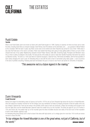## cult california

## the estates

#### Rudd Estate Oakville

What is now Rudd Estate used to be known as Girard until Leslie Rudd bought it in 1996. Sparing no expense, he hired an all-star cast to make his wines, including David Abreu as vineyard manager, David Ramey (now Pat Sullivan) as the winemaker, and.......you guessed it, Michel Rolland as the consultant. With this team in place, big Parker scores were not far behind and when 95points duly arrived for one of their 1998 wines it was clear that Rudd was on the road to cult status. Parker was insistent that things were going to keep getting better at Rudd, as much of their vineyard land was of top quality. Neighbouring vineyards include Phelps' Backus, Dalla Valle, Screaming Eagle, Plumpjack and Mondavi's Opus One, so there is plenty of pedigree in the locality. The best parcels of the estate are used to make their Oakville Proprietary Red which has racked up 99points recently. The wine is a 1300 case blend of Cabernet Sauvignon, Cabernet Franc, Petit Verdot and Malbec, with the final quantities of each variety changing from year to year. An interesting thing to note with this wine is that it is fermented using native yeasts - a rare occurrence in the land of synthetic everything. Following steel tank fermentation the juice is moved to new French oak barrels for 20months of maturation.

#### "This awesome red is a future legend in the making."

Robert Parker

#### Dunn Vineyards Howell Mountain

Randy Dunn began his winemaking career at Caymus, but he left in 1979 to set up Dunn Vineyards high above the fog-line on Howell Mountain. Since the raptourous reception received for his first vintage, Dunn has maintained cult status by keeping production small and quality at the very top of Napa's Cabernet tree. There are two wines in the portfolio (2000 cases of each are produced), a Napa Cab (including some bought in fruit from the valley floor) and the Howell Mountain Cabernet made from estate fruit up on the mountain. The wines are aged for up to 30 months in 75% new French oak. His position high up on the mountain gives the wines incredible structure and clarity of fruit and much of their reputation is built on their fantastic capacity to age.

An interesting thing about Randy Dunn is that he doesn't like wines with high alcohol, so if a vintage gives him more than 14% he will use reverse osmosis to reduce the ABV.

"in top vintages the Howell Mountain is one of the great wines, not just of California, but of the world." **Antonio Galloni** Channel Channel Channel Channel Channel Channel Channel Channel Channel Channel Channel Channel Channel Channel Channel Channel Channel Channel Channel Channel Channel Channel Channel Channel